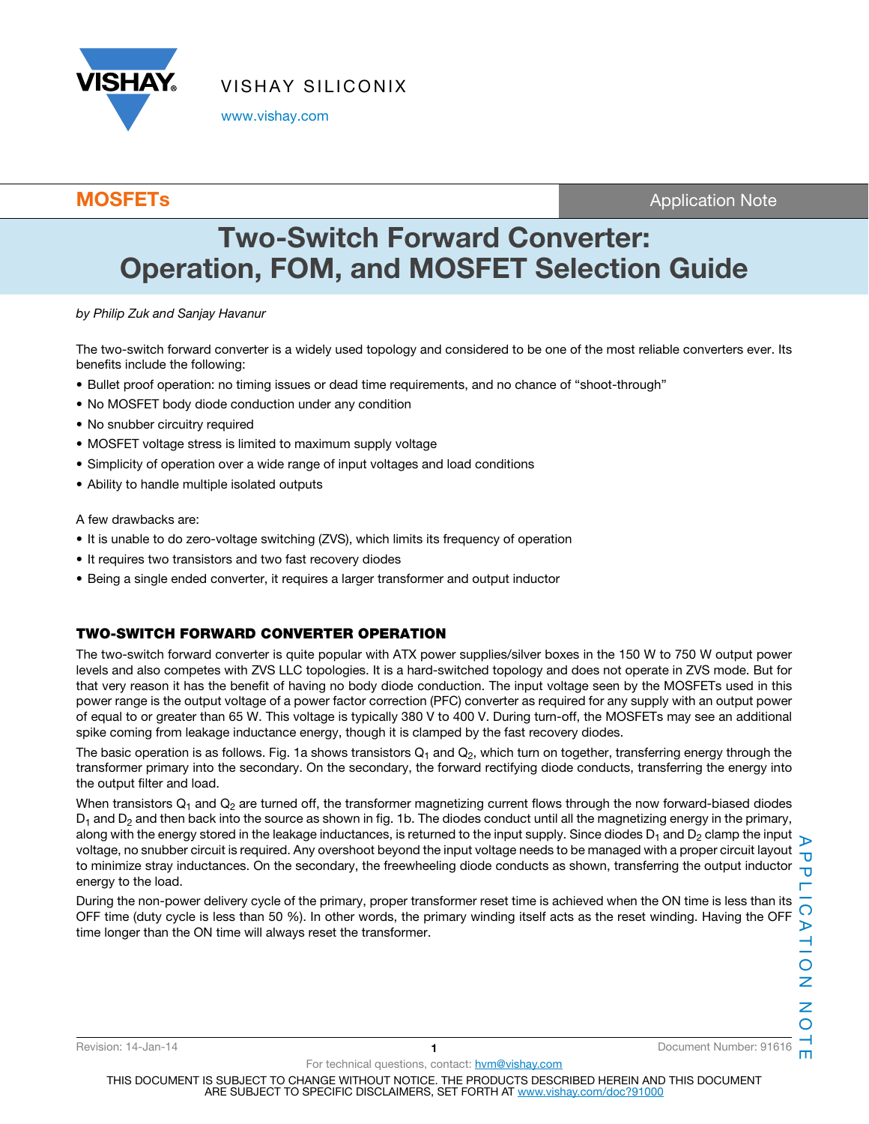

www.vishay.com

**MOSFETs** Application Note

# Two-Switch Forward Converter: Operation, FOM, and MOSFET Selection Guide

by Philip Zuk and Sanjay Havanur

The two-switch forward converter is a widely used topology and considered to be one of the most reliable converters ever. Its benefits include the following:

- Bullet proof operation: no timing issues or dead time requirements, and no chance of "shoot-through"
- No MOSFET body diode conduction under any condition
- No snubber circuitry required
- MOSFET voltage stress is limited to maximum supply voltage
- Simplicity of operation over a wide range of input voltages and load conditions
- Ability to handle multiple isolated outputs

A few drawbacks are:

- It is unable to do zero-voltage switching (ZVS), which limits its frequency of operation
- It requires two transistors and two fast recovery diodes
- Being a single ended converter, it requires a larger transformer and output inductor

## TWO-SWITCH FORWARD CONVERTER OPERATION

The two-switch forward converter is quite popular with ATX power supplies/silver boxes in the 150 W to 750 W output power levels and also competes with ZVS LLC topologies. It is a hard-switched topology and does not operate in ZVS mode. But for that very reason it has the benefit of having no body diode conduction. The input voltage seen by the MOSFETs used in this power range is the output voltage of a power factor correction (PFC) converter as required for any supply with an output power of equal to or greater than 65 W. This voltage is typically 380 V to 400 V. During turn-off, the MOSFETs may see an additional spike coming from leakage inductance energy, though it is clamped by the fast recovery diodes.

The basic operation is as follows. Fig. 1a shows transistors  $Q_1$  and  $Q_2$ , which turn on together, transferring energy through the transformer primary into the secondary. On the secondary, the forward rectifying diode conducts, transferring the energy into the output filter and load.

When transistors  $Q_1$  and  $Q_2$  are turned off, the transformer magnetizing current flows through the now forward-biased diodes  $D_1$  and  $D_2$  and then back into the source as shown in fig. 1b. The diodes conduct until all the magnetizing energy in the primary, along with the energy stored in the leakage inductances, is returned to the input supply. Since diodes  $D_1$  and  $D_2$  clamp the input voltage, no snubber circuit is required. Any overshoot beyond the input voltage needs to be managed with a proper circuit layout to minimize stray inductances. On the secondary, the freewheeling diode conducts as shown, transferring the output inductor  $\frac{1}{10}$ energy to the load.

During the non-power delivery cycle of the primary, proper transformer reset time is achieved when the ON time is less than its OFF time (duty cycle is less than 50 %). In other words, the primary winding itself acts as the reset winding. Having the OFF time longer than the ON time will always reset the transformer.

Revision: 14-Jan-14 1 Document Number: 91616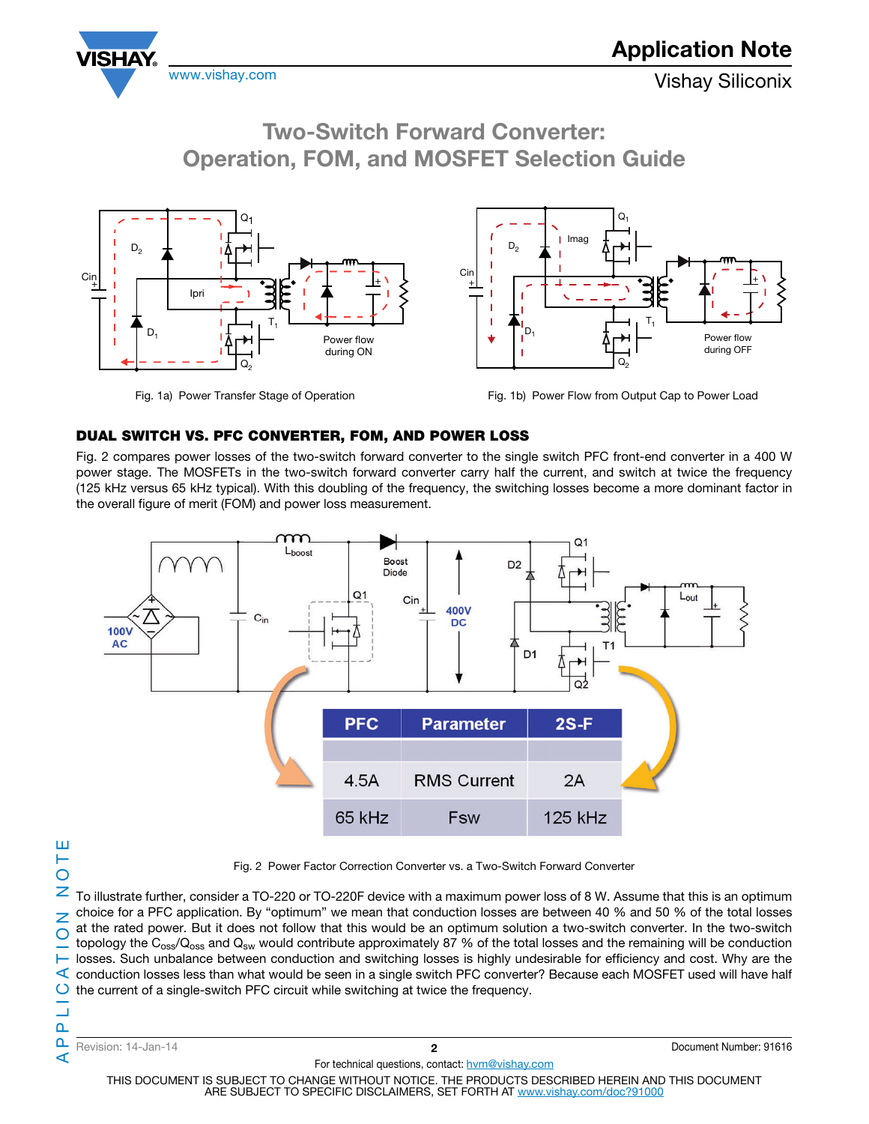





Fig. 1a) Power Transfer Stage of Operation Fig. 1b) Power Flow from Output Cap to Power Load

### DUAL SWITCH VS. PFC CONVERTER, FOM, AND POWER LOSS

Fig. 2 compares power losses of the two-switch forward converter to the single switch PFC front-end converter in a 400 W power stage. The MOSFETs in the two-switch forward converter carry half the current, and switch at twice the frequency (125 kHz versus 65 kHz typical). With this doubling of the frequency, the switching losses become a more dominant factor in the overall figure of merit (FOM) and power loss measurement.



⋖

Fig. 2 Power Factor Correction Converter vs. a Two-Switch Forward Converter

To illustrate further, consider a TO-220 or TO-220F device with a maximum power loss of 8 W. Assume that this is an optimum choice for a PFC application. By "optimum" we mean that conduction losses are between 40 % and 50 % of the total losses at the rated power. But it does not follow that this would be an optimum solution a two-switch converter. In the two-switch topology the  $C_{\rm oss}/Q_{\rm oss}$  and  $Q_{\rm sw}$  would contribute approximately 87 % of the total losses and the remaining will be conduction losses. Such unbalance between conduction and switching losses is highly undesirable for efficiency and cost. Why are the  $\leq$  conduction losses less than what would be seen in a single switch PFC converter? Because each MOSFET used will have half the current of a single-switch PFC circuit while switching at twice the frequency.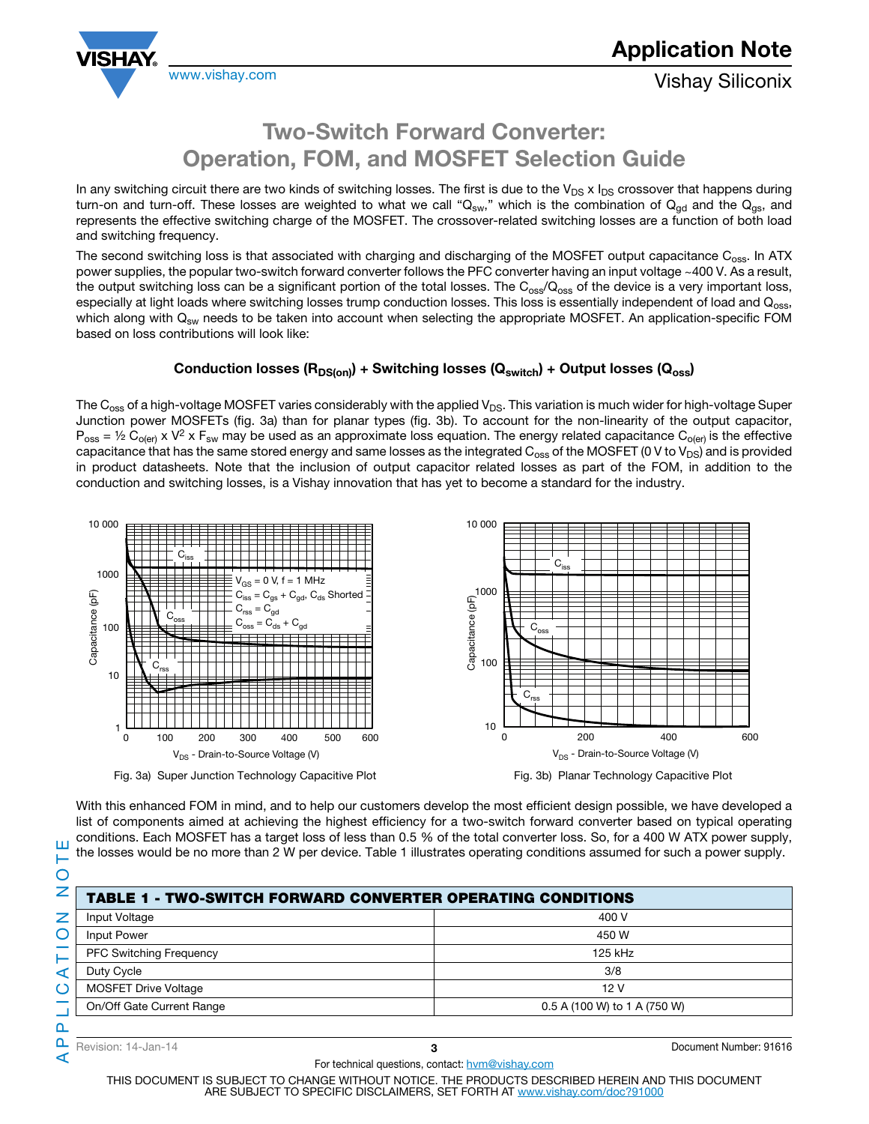

## Two-Switch Forward Converter: Operation, FOM, and MOSFET Selection Guide

In any switching circuit there are two kinds of switching losses. The first is due to the  $V_{DS} \times I_{DS}$  crossover that happens during turn-on and turn-off. These losses are weighted to what we call " $Q_{sw}$ ," which is the combination of  $Q_{od}$  and the  $Q_{gs}$ , and represents the effective switching charge of the MOSFET. The crossover-related switching losses are a function of both load and switching frequency.

The second switching loss is that associated with charging and discharging of the MOSFET output capacitance C<sub>oss</sub>. In ATX power supplies, the popular two-switch forward converter follows the PFC converter having an input voltage ~400 V. As a result, the output switching loss can be a significant portion of the total losses. The  $C_{\rm oss}/Q_{\rm oss}$  of the device is a very important loss, especially at light loads where switching losses trump conduction losses. This loss is essentially independent of load and Q<sub>oss</sub>, which along with  $Q_{\text{sw}}$  needs to be taken into account when selecting the appropriate MOSFET. An application-specific FOM based on loss contributions will look like:

#### Conduction losses ( $R_{DS(on)}$ ) + Switching losses ( $Q_{switch}$ ) + Output losses ( $Q_{oss}$ )

The  $C_{\rm oss}$  of a high-voltage MOSFET varies considerably with the applied V<sub>DS</sub>. This variation is much wider for high-voltage Super Junction power MOSFETs (fig. 3a) than for planar types (fig. 3b). To account for the non-linearity of the output capacitor,  $P_{\text{oss}} = \frac{1}{2} C_{\text{O(er)}} x V^2 x F_{\text{sw}}$  may be used as an approximate loss equation. The energy related capacitance  $C_{\text{O(er)}}$  is the effective capacitance that has the same stored energy and same losses as the integrated  $C_{\text{oss}}$  of the MOSFET (0 V to V<sub>DS</sub>) and is provided in product datasheets. Note that the inclusion of output capacitor related losses as part of the FOM, in addition to the conduction and switching losses, is a Vishay innovation that has yet to become a standard for the industry.



Fig. 3a) Super Junction Technology Capacitive Plot Fig. 3b) Planar Technology Capacitive Plot



With this enhanced FOM in mind, and to help our customers develop the most efficient design possible, we have developed a list of components aimed at achieving the highest efficiency for a two-switch forward converter based on typical operating conditions. Each MOSFET has a target loss of less than 0.5 % of the total converter loss. So, for a 400 W ATX power supply, the losses would be no more than 2 W per device. Table 1 illustrates operating conditions assumed for such a power supply.

Ш

| Input Voltage                  |  | 400 V                        |  |  |  |
|--------------------------------|--|------------------------------|--|--|--|
| Input Power                    |  | 450 W                        |  |  |  |
| <b>PFC Switching Frequency</b> |  | 125 kHz                      |  |  |  |
| Duty Cycle                     |  | 3/8                          |  |  |  |
| <b>MOSFET Drive Voltage</b>    |  | 12V                          |  |  |  |
| On/Off Gate Current Range      |  | 0.5 A (100 W) to 1 A (750 W) |  |  |  |
|                                |  |                              |  |  |  |
| Revision: 14-Jan-14            |  | Document Number: 91616       |  |  |  |

- TWO-SWITCH FORWARD CONVERTER OPERATING CONDITIONS

⋖

For technical questions, contact: hvm@vishay.com THIS DOCUMENT IS SUBJECT TO CHANGE WITHOUT NOTICE. THE PRODUCTS DESCRIBED HEREIN AND THIS DOCUMENT ARE SUBJECT TO SPECIFIC DISCLAIMERS, SET FORTH AT www.vishay.com/doc?91000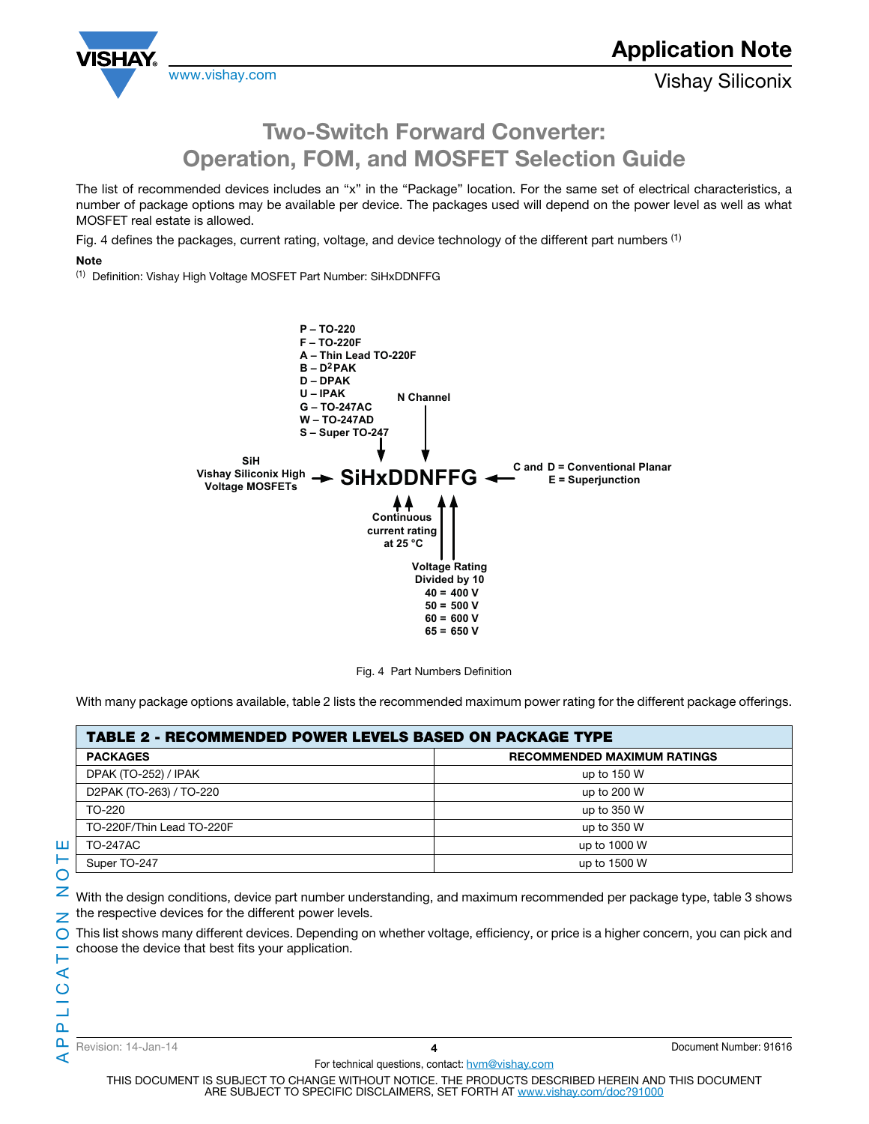

## Two-Switch Forward Converter: Operation, FOM, and MOSFET Selection Guide

The list of recommended devices includes an "x" in the "Package" location. For the same set of electrical characteristics, a number of package options may be available per device. The packages used will depend on the power level as well as what MOSFET real estate is allowed.

Fig. 4 defines the packages, current rating, voltage, and device technology of the different part numbers <sup>(1)</sup>

#### **Note**

(1) Definition: Vishay High Voltage MOSFET Part Number: SiHxDDNFFG



Fig. 4 Part Numbers Definition

With many package options available, table 2 lists the recommended maximum power rating for the different package offerings.

| <b>TABLE 2 - RECOMMENDED POWER LEVELS BASED ON PACKAGE TYPE</b> |                                    |  |  |  |  |
|-----------------------------------------------------------------|------------------------------------|--|--|--|--|
| <b>PACKAGES</b>                                                 | <b>RECOMMENDED MAXIMUM RATINGS</b> |  |  |  |  |
| DPAK (TO-252) / IPAK                                            | up to $150 W$                      |  |  |  |  |
| D2PAK (TO-263) / TO-220                                         | up to 200 W                        |  |  |  |  |
| TO-220                                                          | up to 350 W                        |  |  |  |  |
| TO-220F/Thin Lead TO-220F                                       | up to 350 W                        |  |  |  |  |
| <b>TO-247AC</b>                                                 | up to 1000 W                       |  |  |  |  |
| Super TO-247                                                    | up to 1500 W                       |  |  |  |  |

With the design conditions, device part number understanding, and maximum recommended per package type, table 3 shows

This list shows many different devices. Depending on whether voltage, efficiency, or price is a higher concern, you can pick and

⋖

choose the device that best fits your application.